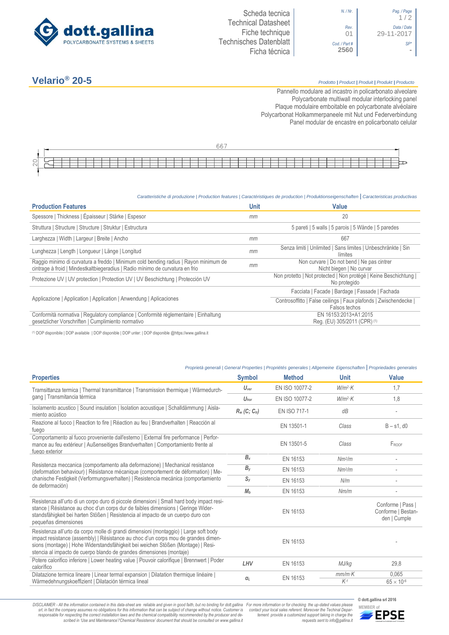

*N. / Nr*. *Pag. / Page* 1 / 2 *Rev*. *Data / Date* 01 29-11-2017 *Cod. / Part # SP\**

## **Velario® 20-5** *Prodotto <sup>|</sup> Product <sup>|</sup> Produit <sup>|</sup> Produkt <sup>|</sup> Producto*

Pannello modulare ad incastro in policarbonato alveolare Polycarbonate multiwall modular interlocking panel Plaque modulaire emboitable en polycarbonate alvéolaire Polycarbonat Holkammerpaneele mit Nut und Federverbindung [Panel modular de encastre en policarbonato c](http://www.google.it/url?sa=t&rct=j&q=&esrc=s&source=web&cd=6&ved=0ahUKEwiPyOW6w_3PAhXLORoKHXbkAhUQFggtMAU&url=http%3A%2F%2Fwww.getsl.com%2Fes%2Fmateriales-construccion%2Fsabic-policarbonato%2Fplaca-solida%2Flexan-exell-d-placa-translucida%2F&usg=AFQjCNF4aMpg9CRcF79iWWH-XBKKMH3eWA&bvm=bv.136811127,d.bGs)elular

|                                                     |  |  |  |  |  |  |  |  |  |  | ьь |  |  |  |  |  |  |  |  |  |  |  |  |
|-----------------------------------------------------|--|--|--|--|--|--|--|--|--|--|----|--|--|--|--|--|--|--|--|--|--|--|--|
|                                                     |  |  |  |  |  |  |  |  |  |  |    |  |  |  |  |  |  |  |  |  |  |  |  |
| $\widehat{\phantom{m}}$<br>$\overline{\phantom{0}}$ |  |  |  |  |  |  |  |  |  |  |    |  |  |  |  |  |  |  |  |  |  |  |  |
| $\sim$                                              |  |  |  |  |  |  |  |  |  |  |    |  |  |  |  |  |  |  |  |  |  |  |  |

## *Caratteristiche di produzione | Production features | Caractéristiques de production | Produktionseigenschaften* **|** *Caracteristicas productivas*

| <b>Production Features</b>                                                                                                                                            | Unit | Value                                                                              |
|-----------------------------------------------------------------------------------------------------------------------------------------------------------------------|------|------------------------------------------------------------------------------------|
| Spessore   Thickness   Épaisseur   Stärke   Espesor                                                                                                                   | mm   | 20                                                                                 |
| Struttura   Structure   Structure   Struktur   Estructura                                                                                                             |      | 5 pareti   5 walls   5 parois   5 Wände   5 paredes                                |
| Larghezza   Width   Largeur   Breite   Ancho                                                                                                                          | mm   | 667                                                                                |
| Lunghezza   Length   Longueur   Länge   Longitud                                                                                                                      | mm   | Senza limiti   Unlimited   Sans limites   Unbeschränkte   Sin<br>límites           |
| Raggio minimo di curvatura a freddo   Minimum cold bending radius   Rayon minimum de<br>cintrage à froid   Mindestkaltbiegeradius   Radio mínimo de curvatura en frio | mm   | Non curvare   Do not bend   Ne pas cintrer<br>Nicht biegen   No curvar             |
| Protezione UV   UV protection   Protection UV   UV Beschichtung   Protección UV                                                                                       |      | Non protetto   Not protected   Non protégé   Keine Beschichtung  <br>No protegido  |
|                                                                                                                                                                       |      | Facciata   Facade   Bardage   Fassade   Fachada                                    |
| Applicazione   Application   Application   Anwendung   Aplicaciones                                                                                                   |      | Controsoffitto   False ceilings   Faux plafonds   Zwischendecke  <br>Falsos techos |
| Conformità normativa   Regulatory compliance   Conformité réglementaire   Einhaltung<br>gesetzlicher Vorschriften   Cumplimiento normativo                            |      | EN 16153:2013+A1:2015<br>Reg. (EU) 305/2011 (CPR) (1)                              |

(1) DOP disponibile | DOP available | DOP disponible | DOP unter: | DOP disponible @https://www.gallina.it

## *Proprietà generali | General Properties | Propriétés generales | Allgemeine Eigenschaften* **|** *Propriedades generales*

| <b>Properties</b>                                                                                                                                                                                                                                                                                                                       | <b>Symbol</b>               | <b>Method</b>  | <b>Unit</b>        | <b>Value</b>                                            |
|-----------------------------------------------------------------------------------------------------------------------------------------------------------------------------------------------------------------------------------------------------------------------------------------------------------------------------------------|-----------------------------|----------------|--------------------|---------------------------------------------------------|
| Tramsittanza termica   Thermal transmittance   Transmission thermique   Wärmedurch-                                                                                                                                                                                                                                                     | $U_{\text{ver}}$            | EN ISO 10077-2 | $W/m^2$ K          | 1,7                                                     |
| gang   Transmitancia térmica                                                                                                                                                                                                                                                                                                            | $U_{\text{hor}}$            | EN ISO 10077-2 | $W/m^2$ K          | 1,8                                                     |
| Isolamento acustico   Sound insulation   Isolation acoustique   Schalldämmung   Aisla-<br>miento acústico                                                                                                                                                                                                                               | $R_w$ (C; C <sub>tr</sub> ) | EN ISO 717-1   | dB                 |                                                         |
| Reazione al fuoco   Reaction to fire   Réaction au feu   Brandverhalten   Reacción al<br>fuego                                                                                                                                                                                                                                          |                             | EN 13501-1     | Class              | $B - s1$ , d $0$                                        |
| Comportamento al fuoco proveniente dall'esterno   External fire performance   Perfor-<br>mance au feu extérieur   Außenseitiges Brandverhalten   Comportamiento frente al<br>fuego exterior                                                                                                                                             |                             | EN 13501-5     | Class              | FROOF                                                   |
|                                                                                                                                                                                                                                                                                                                                         | $B_{x}$                     | EN 16153       | Nm <sup>2</sup> /m |                                                         |
| Resistenza meccanica (comportamento alla deformazione)   Mechanical resistance<br>(deformation behaviour)   Résistance mécanique (comportement de déformation)   Me-                                                                                                                                                                    | $B_{V}$                     | EN 16153       | Nm <sup>2</sup> /m |                                                         |
| chanische Festigkeit (Verformungsverhalten)   Resistencia mecánica (comportamiento<br>de deformación)                                                                                                                                                                                                                                   | $S_{V}$                     | EN 16153       | N/m                |                                                         |
|                                                                                                                                                                                                                                                                                                                                         | M <sub>b</sub>              | EN 16153       | Nm/m               |                                                         |
| Resistenza all'urto di un corpo duro di piccole dimensioni   Small hard body impact resi-<br>stance   Résistance au choc d'un corps dur de faibles dimensions   Geringe Wider-<br>standsfähigkeit bei harten Stößen   Resistencia al impacto de un cuerpo duro con<br>pequeñas dimensiones                                              |                             | EN 16153       |                    | Conforme   Pass  <br>Conforme   Bestan-<br>den   Cumple |
| Resistenza all'urto da corpo molle di grandi dimensioni (montaggio)   Large soft body<br>impact resistance (assembly)   Résistance au choc d'un corps mou de grandes dimen-<br>sions (montage)   Hohe Widerstandsfähigkeit bei weichen Stößen (Montage)   Resi-<br>stencia al impacto de cuerpo blando de grandes dimensiones (montaje) |                             | EN 16153       |                    |                                                         |
| Potere calorifico inferiore   Lower heating value   Pouvoir calorifique   Brennwert   Poder<br>calorífico                                                                                                                                                                                                                               | LHV                         | EN 16153       | MJ/kg              | 29,8                                                    |
| Dilatazione termica lineare   Linear termal expansion   Dilatation thermique linéaire  <br>Wärmedehnungskoeffizient   Dilatación térmica lineal                                                                                                                                                                                         | $\alpha$                    | EN 16153       | $mm/m$ K<br>$K-1$  | 0.065<br>$65 \times 10^{-6}$                            |

DISCLAIMER - All the information contained in this data-sheet are reliable and given in good faith, but no binding for dott.gallina For more information or for checking the up-dated values please<br>-srl, in fact the company -responsable for respecting the correct installation laws and the chemical compatibility recommended by the producer and de-<br>scribed in 'Use and Maintenance'/'Chemical Resistence' document that should be consulted on www.g

*tement provide a customized support taking in charge the requests sent to info@gallina.it*

**© dott.gallina srl 2016**